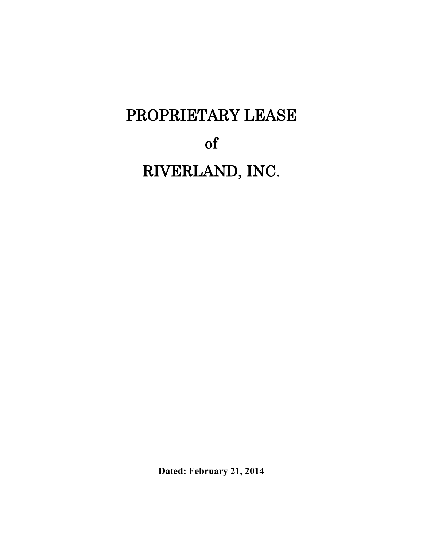# PROPRIETARY LEASE of RIVERLAND, INC.

**Dated: February 21, 2014**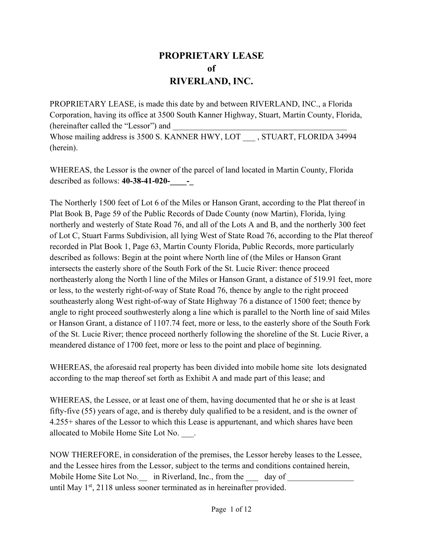## **PROPRIETARY LEASE of RIVERLAND, INC.**

PROPRIETARY LEASE, is made this date by and between RIVERLAND, INC., a Florida Corporation, having its office at 3500 South Kanner Highway, Stuart, Martin County, Florida, (hereinafter called the "Lessor") and Whose mailing address is 3500 S. KANNER HWY, LOT , STUART, FLORIDA 34994 (herein).

WHEREAS, the Lessor is the owner of the parcel of land located in Martin County, Florida described as follows: **40-38-41-020-\_\_\_\_-\_**

The Northerly 1500 feet of Lot 6 of the Miles or Hanson Grant, according to the Plat thereof in Plat Book B, Page 59 of the Public Records of Dade County (now Martin), Florida, lying northerly and westerly of State Road 76, and all of the Lots A and B, and the northerly 300 feet of Lot C, Stuart Farms Subdivision, all lying West of State Road 76, according to the Plat thereof recorded in Plat Book 1, Page 63, Martin County Florida, Public Records, more particularly described as follows: Begin at the point where North line of (the Miles or Hanson Grant intersects the easterly shore of the South Fork of the St. Lucie River: thence proceed northeasterly along the North l line of the Miles or Hanson Grant, a distance of 519.91 feet, more or less, to the westerly right-of-way of State Road 76, thence by angle to the right proceed southeasterly along West right-of-way of State Highway 76 a distance of 1500 feet; thence by angle to right proceed southwesterly along a line which is parallel to the North line of said Miles or Hanson Grant, a distance of 1107.74 feet, more or less, to the easterly shore of the South Fork of the St. Lucie River; thence proceed northerly following the shoreline of the St. Lucie River, a meandered distance of 1700 feet, more or less to the point and place of beginning.

WHEREAS, the aforesaid real property has been divided into mobile home site lots designated according to the map thereof set forth as Exhibit A and made part of this lease; and

WHEREAS, the Lessee, or at least one of them, having documented that he or she is at least fifty-five (55) years of age, and is thereby duly qualified to be a resident, and is the owner of 4.255+ shares of the Lessor to which this Lease is appurtenant, and which shares have been allocated to Mobile Home Site Lot No. \_\_\_.

NOW THEREFORE, in consideration of the premises, the Lessor hereby leases to the Lessee, and the Lessee hires from the Lessor, subject to the terms and conditions contained herein, Mobile Home Site Lot No. in Riverland, Inc., from the day of until May  $1<sup>st</sup>$ , 2118 unless sooner terminated as in hereinafter provided.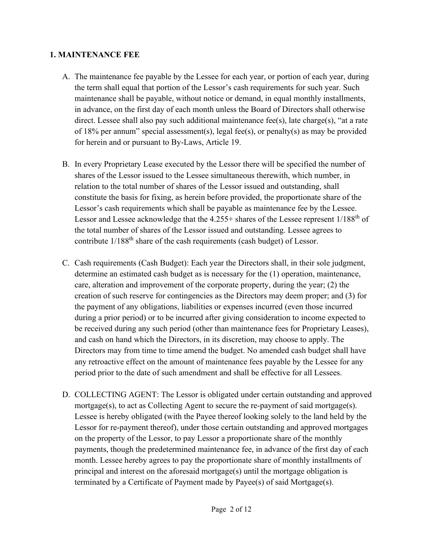#### **1. MAINTENANCE FEE**

- A. The maintenance fee payable by the Lessee for each year, or portion of each year, during the term shall equal that portion of the Lessor's cash requirements for such year. Such maintenance shall be payable, without notice or demand, in equal monthly installments, in advance, on the first day of each month unless the Board of Directors shall otherwise direct. Lessee shall also pay such additional maintenance fee(s), late charge(s), "at a rate of 18% per annum" special assessment(s), legal fee(s), or penalty(s) as may be provided for herein and or pursuant to By-Laws, Article 19.
- B. In every Proprietary Lease executed by the Lessor there will be specified the number of shares of the Lessor issued to the Lessee simultaneous therewith, which number, in relation to the total number of shares of the Lessor issued and outstanding, shall constitute the basis for fixing, as herein before provided, the proportionate share of the Lessor's cash requirements which shall be payable as maintenance fee by the Lessee. Lessor and Lessee acknowledge that the  $4.255+$  shares of the Lessee represent  $1/188<sup>th</sup>$  of the total number of shares of the Lessor issued and outstanding. Lessee agrees to contribute  $1/188^{th}$  share of the cash requirements (cash budget) of Lessor.
- C. Cash requirements (Cash Budget): Each year the Directors shall, in their sole judgment, determine an estimated cash budget as is necessary for the (1) operation, maintenance, care, alteration and improvement of the corporate property, during the year; (2) the creation of such reserve for contingencies as the Directors may deem proper; and (3) for the payment of any obligations, liabilities or expenses incurred (even those incurred during a prior period) or to be incurred after giving consideration to income expected to be received during any such period (other than maintenance fees for Proprietary Leases), and cash on hand which the Directors, in its discretion, may choose to apply. The Directors may from time to time amend the budget. No amended cash budget shall have any retroactive effect on the amount of maintenance fees payable by the Lessee for any period prior to the date of such amendment and shall be effective for all Lessees.
- D. COLLECTING AGENT: The Lessor is obligated under certain outstanding and approved mortgage(s), to act as Collecting Agent to secure the re-payment of said mortgage(s). Lessee is hereby obligated (with the Payee thereof looking solely to the land held by the Lessor for re-payment thereof), under those certain outstanding and approved mortgages on the property of the Lessor, to pay Lessor a proportionate share of the monthly payments, though the predetermined maintenance fee, in advance of the first day of each month. Lessee hereby agrees to pay the proportionate share of monthly installments of principal and interest on the aforesaid mortgage(s) until the mortgage obligation is terminated by a Certificate of Payment made by Payee(s) of said Mortgage(s).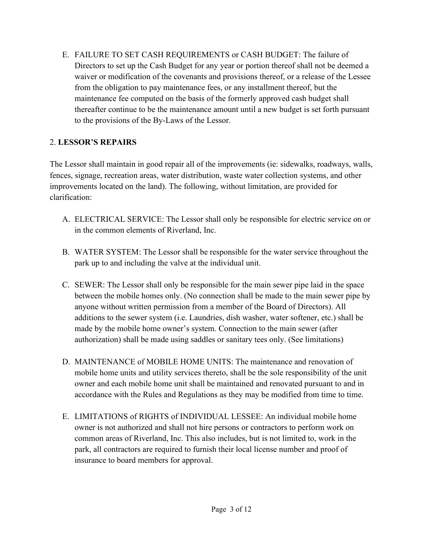E. FAILURE TO SET CASH REQUIREMENTS or CASH BUDGET: The failure of Directors to set up the Cash Budget for any year or portion thereof shall not be deemed a waiver or modification of the covenants and provisions thereof, or a release of the Lessee from the obligation to pay maintenance fees, or any installment thereof, but the maintenance fee computed on the basis of the formerly approved cash budget shall thereafter continue to be the maintenance amount until a new budget is set forth pursuant to the provisions of the By-Laws of the Lessor.

## 2. **LESSOR'S REPAIRS**

The Lessor shall maintain in good repair all of the improvements (ie: sidewalks, roadways, walls, fences, signage, recreation areas, water distribution, waste water collection systems, and other improvements located on the land). The following, without limitation, are provided for clarification:

- A. ELECTRICAL SERVICE: The Lessor shall only be responsible for electric service on or in the common elements of Riverland, Inc.
- B. WATER SYSTEM: The Lessor shall be responsible for the water service throughout the park up to and including the valve at the individual unit.
- C. SEWER: The Lessor shall only be responsible for the main sewer pipe laid in the space between the mobile homes only. (No connection shall be made to the main sewer pipe by anyone without written permission from a member of the Board of Directors). All additions to the sewer system (i.e. Laundries, dish washer, water softener, etc.) shall be made by the mobile home owner's system. Connection to the main sewer (after authorization) shall be made using saddles or sanitary tees only. (See limitations)
- D. MAINTENANCE of MOBILE HOME UNITS: The maintenance and renovation of mobile home units and utility services thereto, shall be the sole responsibility of the unit owner and each mobile home unit shall be maintained and renovated pursuant to and in accordance with the Rules and Regulations as they may be modified from time to time.
- E. LIMITATIONS of RIGHTS of INDIVIDUAL LESSEE: An individual mobile home owner is not authorized and shall not hire persons or contractors to perform work on common areas of Riverland, Inc. This also includes, but is not limited to, work in the park, all contractors are required to furnish their local license number and proof of insurance to board members for approval.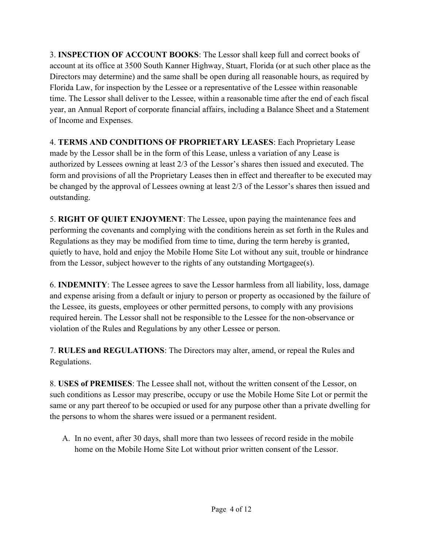3. **INSPECTION OF ACCOUNT BOOKS**: The Lessor shall keep full and correct books of account at its office at 3500 South Kanner Highway, Stuart, Florida (or at such other place as the Directors may determine) and the same shall be open during all reasonable hours, as required by Florida Law, for inspection by the Lessee or a representative of the Lessee within reasonable time. The Lessor shall deliver to the Lessee, within a reasonable time after the end of each fiscal year, an Annual Report of corporate financial affairs, including a Balance Sheet and a Statement of Income and Expenses.

4. **TERMS AND CONDITIONS OF PROPRIETARY LEASES**: Each Proprietary Lease made by the Lessor shall be in the form of this Lease, unless a variation of any Lease is authorized by Lessees owning at least  $2/3$  of the Lessor's shares then issued and executed. The form and provisions of all the Proprietary Leases then in effect and thereafter to be executed may be changed by the approval of Lessees owning at least 2/3 of the Lessor's shares then issued and outstanding.

5. **RIGHT OF QUIET ENJOYMENT**: The Lessee, upon paying the maintenance fees and performing the covenants and complying with the conditions herein as set forth in the Rules and Regulations as they may be modified from time to time, during the term hereby is granted, quietly to have, hold and enjoy the Mobile Home Site Lot without any suit, trouble or hindrance from the Lessor, subject however to the rights of any outstanding Mortgagee(s).

6. **INDEMNITY**: The Lessee agrees to save the Lessor harmless from all liability, loss, damage and expense arising from a default or injury to person or property as occasioned by the failure of the Lessee, its guests, employees or other permitted persons, to comply with any provisions required herein. The Lessor shall not be responsible to the Lessee for the non-observance or violation of the Rules and Regulations by any other Lessee or person.

7. **RULES and REGULATIONS**: The Directors may alter, amend, or repeal the Rules and Regulations.

8. **USES of PREMISES**: The Lessee shall not, without the written consent of the Lessor, on such conditions as Lessor may prescribe, occupy or use the Mobile Home Site Lot or permit the same or any part thereof to be occupied or used for any purpose other than a private dwelling for the persons to whom the shares were issued or a permanent resident.

A. In no event, after 30 days, shall more than two lessees of record reside in the mobile home on the Mobile Home Site Lot without prior written consent of the Lessor.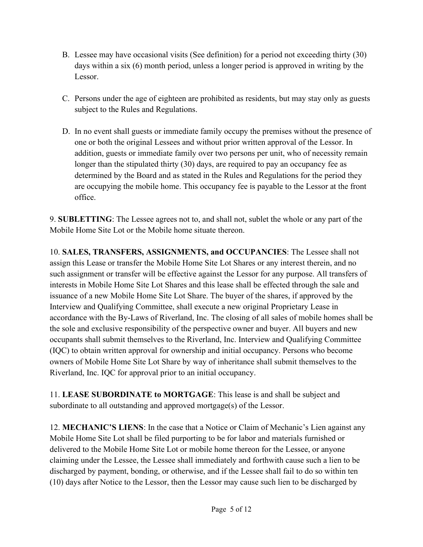- B. Lessee may have occasional visits (See definition) for a period not exceeding thirty (30) days within a six (6) month period, unless a longer period is approved in writing by the Lessor.
- C. Persons under the age of eighteen are prohibited as residents, but may stay only as guests subject to the Rules and Regulations.
- D. In no event shall guests or immediate family occupy the premises without the presence of one or both the original Lessees and without prior written approval of the Lessor. In addition, guests or immediate family over two persons per unit, who of necessity remain longer than the stipulated thirty (30) days, are required to pay an occupancy fee as determined by the Board and as stated in the Rules and Regulations for the period they are occupying the mobile home. This occupancy fee is payable to the Lessor at the front office.

9. **SUBLETTING**: The Lessee agrees not to, and shall not, sublet the whole or any part of the Mobile Home Site Lot or the Mobile home situate thereon.

10. **SALES, TRANSFERS, ASSIGNMENTS, and OCCUPANCIES**: The Lessee shall not assign this Lease or transfer the Mobile Home Site Lot Shares or any interest therein, and no such assignment or transfer will be effective against the Lessor for any purpose. All transfers of interests in Mobile Home Site Lot Shares and this lease shall be effected through the sale and issuance of a new Mobile Home Site Lot Share. The buyer of the shares, if approved by the Interview and Qualifying Committee, shall execute a new original Proprietary Lease in accordance with the By-Laws of Riverland, Inc. The closing of all sales of mobile homes shall be the sole and exclusive responsibility of the perspective owner and buyer. All buyers and new occupants shall submit themselves to the Riverland, Inc. Interview and Qualifying Committee (IQC) to obtain written approval for ownership and initial occupancy. Persons who become owners of Mobile Home Site Lot Share by way of inheritance shall submit themselves to the Riverland, Inc. IQC for approval prior to an initial occupancy.

11. **LEASE SUBORDINATE to MORTGAGE**: This lease is and shall be subject and subordinate to all outstanding and approved mortgage(s) of the Lessor.

12. **MECHANIC'S LIENS**: In the case that a Notice or Claim of Mechanic's Lien against any Mobile Home Site Lot shall be filed purporting to be for labor and materials furnished or delivered to the Mobile Home Site Lot or mobile home thereon for the Lessee, or anyone claiming under the Lessee, the Lessee shall immediately and forthwith cause such a lien to be discharged by payment, bonding, or otherwise, and if the Lessee shall fail to do so within ten (10) days after Notice to the Lessor, then the Lessor may cause such lien to be discharged by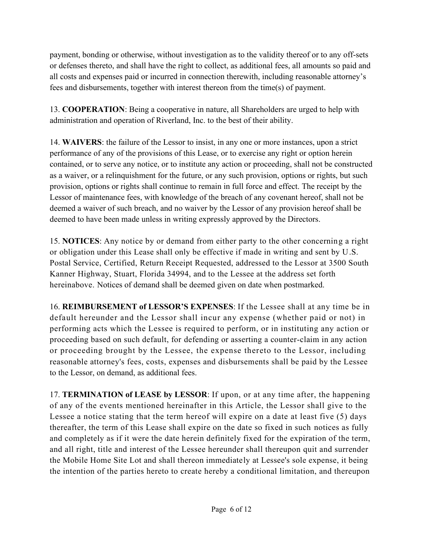payment, bonding or otherwise, without investigation as to the validity thereof or to any off-sets or defenses thereto, and shall have the right to collect, as additional fees, all amounts so paid and all costs and expenses paid or incurred in connection therewith, including reasonable attorney's fees and disbursements, together with interest thereon from the time(s) of payment.

13. **COOPERATION**: Being a cooperative in nature, all Shareholders are urged to help with administration and operation of Riverland, Inc. to the best of their ability.

14. **WAIVERS**: the failure of the Lessor to insist, in any one or more instances, upon a strict performance of any of the provisions of this Lease, or to exercise any right or option herein contained, or to serve any notice, or to institute any action or proceeding, shall not be constructed as a waiver, or a relinquishment for the future, or any such provision, options or rights, but such provision, options or rights shall continue to remain in full force and effect. The receipt by the Lessor of maintenance fees, with knowledge of the breach of any covenant hereof, shall not be deemed a waiver of such breach, and no waiver by the Lessor of any provision hereof shall be deemed to have been made unless in writing expressly approved by the Directors.

15. **NOTICES**: Any notice by or demand from either party to the other concerning a right or obligation under this Lease shall only be effective if made in writing and sent by U.S. Postal Service, Certified, Return Receipt Requested, addressed to the Lessor at 3500 South Kanner Highway, Stuart, Florida 34994, and to the Lessee at the address set forth hereinabove. Notices of demand shall be deemed given on date when postmarked.

16. **REIMBURSEMENT of LESSOR'S EXPENSES**: If the Lessee shall at any time be in default hereunder and the Lessor shall incur any expense (whether paid or not) in performing acts which the Lessee is required to perform, or in instituting any action or proceeding based on such default, for defending or asserting a counter-claim in any action or proceeding brought by the Lessee, the expense thereto to the Lessor, including reasonable attorney's fees, costs, expenses and disbursements shall be paid by the Lessee to the Lessor, on demand, as additional fees.

17. **TERMINATION of LEASE by LESSOR**: If upon, or at any time after, the happening of any of the events mentioned hereinafter in this Article, the Lessor shall give to the Lessee a notice stating that the term hereof will expire on a date at least five (5) days thereafter, the term of this Lease shall expire on the date so fixed in such notices as fully and completely as if it were the date herein definitely fixed for the expiration of the term, and all right, title and interest of the Lessee hereunder shall thereupon quit and surrender the Mobile Home Site Lot and shall thereon immediately at Lessee's sole expense, it being the intention of the parties hereto to create hereby a conditional limitation, and thereupon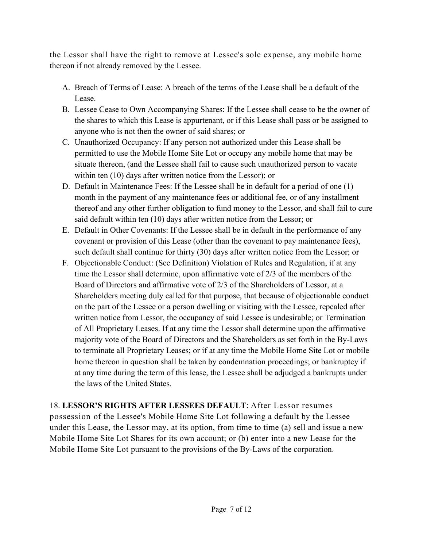the Lessor shall have the right to remove at Lessee's sole expense, any mobile home thereon if not already removed by the Lessee.

- A. Breach of Terms of Lease: A breach of the terms of the Lease shall be a default of the Lease.
- B. Lessee Cease to Own Accompanying Shares: If the Lessee shall cease to be the owner of the shares to which this Lease is appurtenant, or if this Lease shall pass or be assigned to anyone who is not then the owner of said shares; or
- C. Unauthorized Occupancy: If any person not authorized under this Lease shall be permitted to use the Mobile Home Site Lot or occupy any mobile home that may be situate thereon, (and the Lessee shall fail to cause such unauthorized person to vacate within ten (10) days after written notice from the Lessor); or
- D. Default in Maintenance Fees: If the Lessee shall be in default for a period of one (1) month in the payment of any maintenance fees or additional fee, or of any installment thereof and any other further obligation to fund money to the Lessor, and shall fail to cure said default within ten (10) days after written notice from the Lessor; or
- E. Default in Other Covenants: If the Lessee shall be in default in the performance of any covenant or provision of this Lease (other than the covenant to pay maintenance fees), such default shall continue for thirty (30) days after written notice from the Lessor; or
- F. Objectionable Conduct: (See Definition) Violation of Rules and Regulation, if at any time the Lessor shall determine, upon affirmative vote of 2/3 of the members of the Board of Directors and affirmative vote of 2/3 of the Shareholders of Lessor, at a Shareholders meeting duly called for that purpose, that because of objectionable conduct on the part of the Lessee or a person dwelling or visiting with the Lessee, repealed after written notice from Lessor, the occupancy of said Lessee is undesirable; or Termination of All Proprietary Leases. If at any time the Lessor shall determine upon the affirmative majority vote of the Board of Directors and the Shareholders as set forth in the By-Laws to terminate all Proprietary Leases; or if at any time the Mobile Home Site Lot or mobile home thereon in question shall be taken by condemnation proceedings; or bankruptcy if at any time during the term of this lease, the Lessee shall be adjudged a bankrupts under the laws of the United States.

18. **LESSOR'S RIGHTS AFTER LESSEES DEFAULT:** After Lessor resumes possession of the Lessee's Mobile Home Site Lot following a default by the Lessee under this Lease, the Lessor may, at its option, from time to time (a) sell and issue a new Mobile Home Site Lot Shares for its own account; or (b) enter into a new Lease for the Mobile Home Site Lot pursuant to the provisions of the By-Laws of the corporation.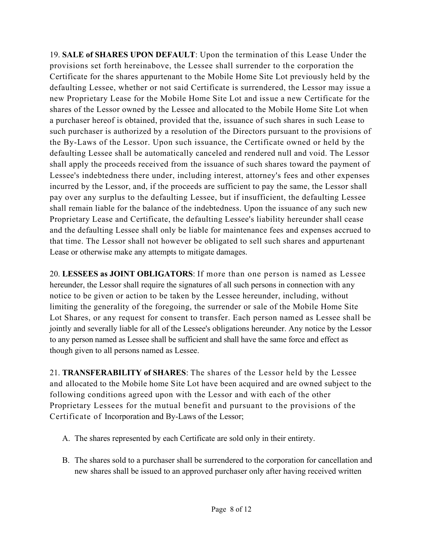19. **SALE of SHARES UPON DEFAULT**: Upon the termination of this Lease Under the provisions set forth hereinabove, the Lessee shall surrender to the corporation the Certificate for the shares appurtenant to the Mobile Home Site Lot previously held by the defaulting Lessee, whether or not said Certificate is surrendered, the Lessor may issue a new Proprietary Lease for the Mobile Home Site Lot and issue a new Certificate for the shares of the Lessor owned by the Lessee and allocated to the Mobile Home Site Lot when a purchaser hereof is obtained, provided that the, issuance of such shares in such Lease to such purchaser is authorized by a resolution of the Directors pursuant to the provisions of the By-Laws of the Lessor. Upon such issuance, the Certificate owned or held by the defaulting Lessee shall be automatically canceled and rendered null and void. The Lessor shall apply the proceeds received from the issuance of such shares toward the payment of Lessee's indebtedness there under, including interest, attorney's fees and other expenses incurred by the Lessor, and, if the proceeds are sufficient to pay the same, the Lessor shall pay over any surplus to the defaulting Lessee, but if insufficient, the defaulting Lessee shall remain liable for the balance of the indebtedness. Upon the issuance of any such new Proprietary Lease and Certificate, the defaulting Lessee's liability hereunder shall cease and the defaulting Lessee shall only be liable for maintenance fees and expenses accrued to that time. The Lessor shall not however be obligated to sell such shares and appurtenant Lease or otherwise make any attempts to mitigate damages.

20. **LESSEES as JOINT OBLIGATORS**: If more than one person is named as Lessee hereunder, the Lessor shall require the signatures of all such persons in connection with any notice to be given or action to be taken by the Lessee hereunder, including, without limiting the generality of the foregoing, the surrender or sale of the Mobile Home Site Lot Shares, or any request for consent to transfer. Each person named as Lessee shall be jointly and severally liable for all of the Lessee's obligations hereunder. Any notice by the Lessor to any person named as Lessee shall be sufficient and shall have the same force and effect as though given to all persons named as Lessee.

21. **TRANSFERABILITY of SHARES**: The shares of the Lessor held by the Lessee and allocated to the Mobile home Site Lot have been acquired and are owned subject to the following conditions agreed upon with the Lessor and with each of the other Proprietary Lessees for the mutual benefit and pursuant to the provisions of the Certificate of Incorporation and By-Laws of the Lessor;

- A. The shares represented by each Certificate are sold only in their entirety.
- B. The shares sold to a purchaser shall be surrendered to the corporation for cancellation and new shares shall be issued to an approved purchaser only after having received written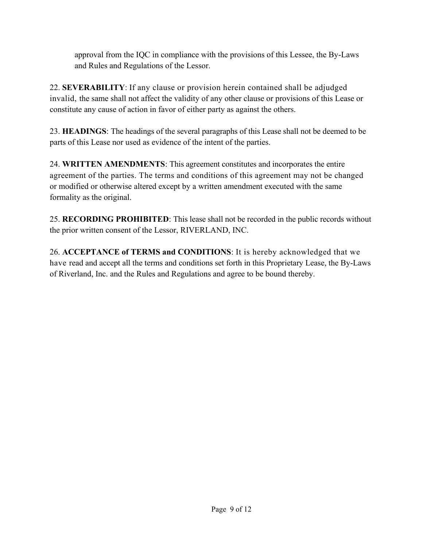approval from the IQC in compliance with the provisions of this Lessee, the By-Laws and Rules and Regulations of the Lessor.

22. **SEVERABILITY**: If any clause or provision herein contained shall be adjudged invalid, the same shall not affect the validity of any other clause or provisions of this Lease or constitute any cause of action in favor of either party as against the others.

23. **HEADINGS**: The headings of the several paragraphs of this Lease shall not be deemed to be parts of this Lease nor used as evidence of the intent of the parties.

24. **WRITTEN AMENDMENTS**: This agreement constitutes and incorporates the entire agreement of the parties. The terms and conditions of this agreement may not be changed or modified or otherwise altered except by a written amendment executed with the same formality as the original.

25. **RECORDING PROHIBITED**: This lease shall not be recorded in the public records without the prior written consent of the Lessor, RIVERLAND, INC.

26. **ACCEPTANCE of TERMS and CONDITIONS**: It is hereby acknowledged that we have read and accept all the terms and conditions set forth in this Proprietary Lease, the By-Laws of Riverland, Inc. and the Rules and Regulations and agree to be bound thereby.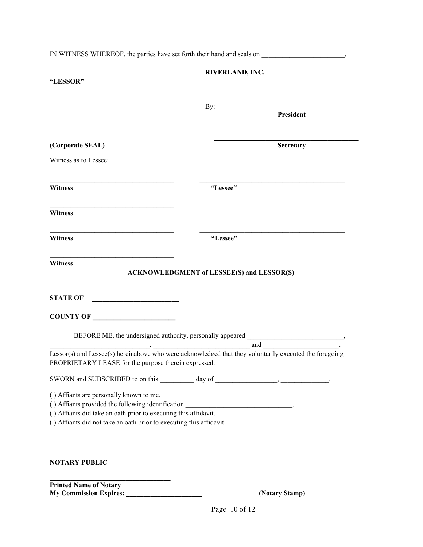|                                                                                                                                                                                                                                                                       | IN WITNESS WHEREOF, the parties have set forth their hand and seals on _____________________________   |
|-----------------------------------------------------------------------------------------------------------------------------------------------------------------------------------------------------------------------------------------------------------------------|--------------------------------------------------------------------------------------------------------|
| "LESSOR"                                                                                                                                                                                                                                                              | RIVERLAND, INC.                                                                                        |
|                                                                                                                                                                                                                                                                       | By: President                                                                                          |
| (Corporate SEAL)                                                                                                                                                                                                                                                      | Secretary                                                                                              |
| Witness as to Lessee:                                                                                                                                                                                                                                                 |                                                                                                        |
| <b>Witness</b>                                                                                                                                                                                                                                                        | "Lessee"                                                                                               |
| <b>Witness</b>                                                                                                                                                                                                                                                        |                                                                                                        |
| <b>Witness</b>                                                                                                                                                                                                                                                        | "Lessee"                                                                                               |
| <u> 1989 - Johann John Harry Harry Harry Harry Harry Harry Harry Harry Harry Harry Harry Harry Harry Harry Harry H</u><br><b>Witness</b>                                                                                                                              | <b>ACKNOWLEDGMENT of LESSEE(S) and LESSOR(S)</b>                                                       |
| <b>STATE OF</b><br><u> 1990 - Johann Barbara, martin a</u>                                                                                                                                                                                                            |                                                                                                        |
| COUNTY OF                                                                                                                                                                                                                                                             |                                                                                                        |
|                                                                                                                                                                                                                                                                       | BEFORE ME, the undersigned authority, personally appeared _______________________,                     |
| PROPRIETARY LEASE for the purpose therein expressed.                                                                                                                                                                                                                  | Lessor(s) and Lessee(s) hereinabove who were acknowledged that they voluntarily executed the foregoing |
|                                                                                                                                                                                                                                                                       |                                                                                                        |
| () Affiants are personally known to me.<br>() Affiants provided the following identification ______________________________<br>() Affiants did take an oath prior to executing this affidavit.<br>() Affiants did not take an oath prior to executing this affidavit. |                                                                                                        |
| <b>NOTARY PUBLIC</b>                                                                                                                                                                                                                                                  |                                                                                                        |
| <b>Printed Name of Notary</b><br><b>My Commission Expires:</b>                                                                                                                                                                                                        | (Notary Stamp)                                                                                         |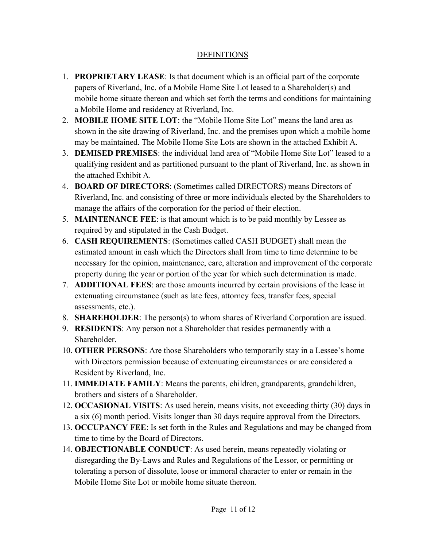### **DEFINITIONS**

- 1. **PROPRIETARY LEASE**: Is that document which is an official part of the corporate papers of Riverland, Inc. of a Mobile Home Site Lot leased to a Shareholder(s) and mobile home situate thereon and which set forth the terms and conditions for maintaining a Mobile Home and residency at Riverland, Inc.
- 2. **MOBILE HOME SITE LOT**: the "Mobile Home Site Lot" means the land area as shown in the site drawing of Riverland, Inc. and the premises upon which a mobile home may be maintained. The Mobile Home Site Lots are shown in the attached Exhibit A.
- 3. **DEMISED PREMISES:** the individual land area of "Mobile Home Site Lot" leased to a qualifying resident and as partitioned pursuant to the plant of Riverland, Inc. as shown in the attached Exhibit A.
- 4. **BOARD OF DIRECTORS**: (Sometimes called DIRECTORS) means Directors of Riverland, Inc. and consisting of three or more individuals elected by the Shareholders to manage the affairs of the corporation for the period of their election.
- 5. **MAINTENANCE FEE**: is that amount which is to be paid monthly by Lessee as required by and stipulated in the Cash Budget.
- 6. **CASH REQUIREMENTS**: (Sometimes called CASH BUDGET) shall mean the estimated amount in cash which the Directors shall from time to time determine to be necessary for the opinion, maintenance, care, alteration and improvement of the corporate property during the year or portion of the year for which such determination is made.
- 7. **ADDITIONAL FEES**: are those amounts incurred by certain provisions of the lease in extenuating circumstance (such as late fees, attorney fees, transfer fees, special assessments, etc.).
- 8. **SHAREHOLDER**: The person(s) to whom shares of Riverland Corporation are issued.
- 9. **RESIDENTS**: Any person not a Shareholder that resides permanently with a **Shareholder**
- 10. **OTHER PERSONS**: Are those Shareholders who temporarily stay in a Lessee's home with Directors permission because of extenuating circumstances or are considered a Resident by Riverland, Inc.
- 11. **IMMEDIATE FAMILY**: Means the parents, children, grandparents, grandchildren, brothers and sisters of a Shareholder.
- 12. **OCCASIONAL VISITS**: As used herein, means visits, not exceeding thirty (30) days in a six (6) month period. Visits longer than 30 days require approval from the Directors.
- 13. **OCCUPANCY FEE**: Is set forth in the Rules and Regulations and may be changed from time to time by the Board of Directors.
- 14. **OBJECTIONABLE CONDUCT**: As used herein, means repeatedly violating or disregarding the By-Laws and Rules and Regulations of the Lessor, or permitting or tolerating a person of dissolute, loose or immoral character to enter or remain in the Mobile Home Site Lot or mobile home situate thereon.